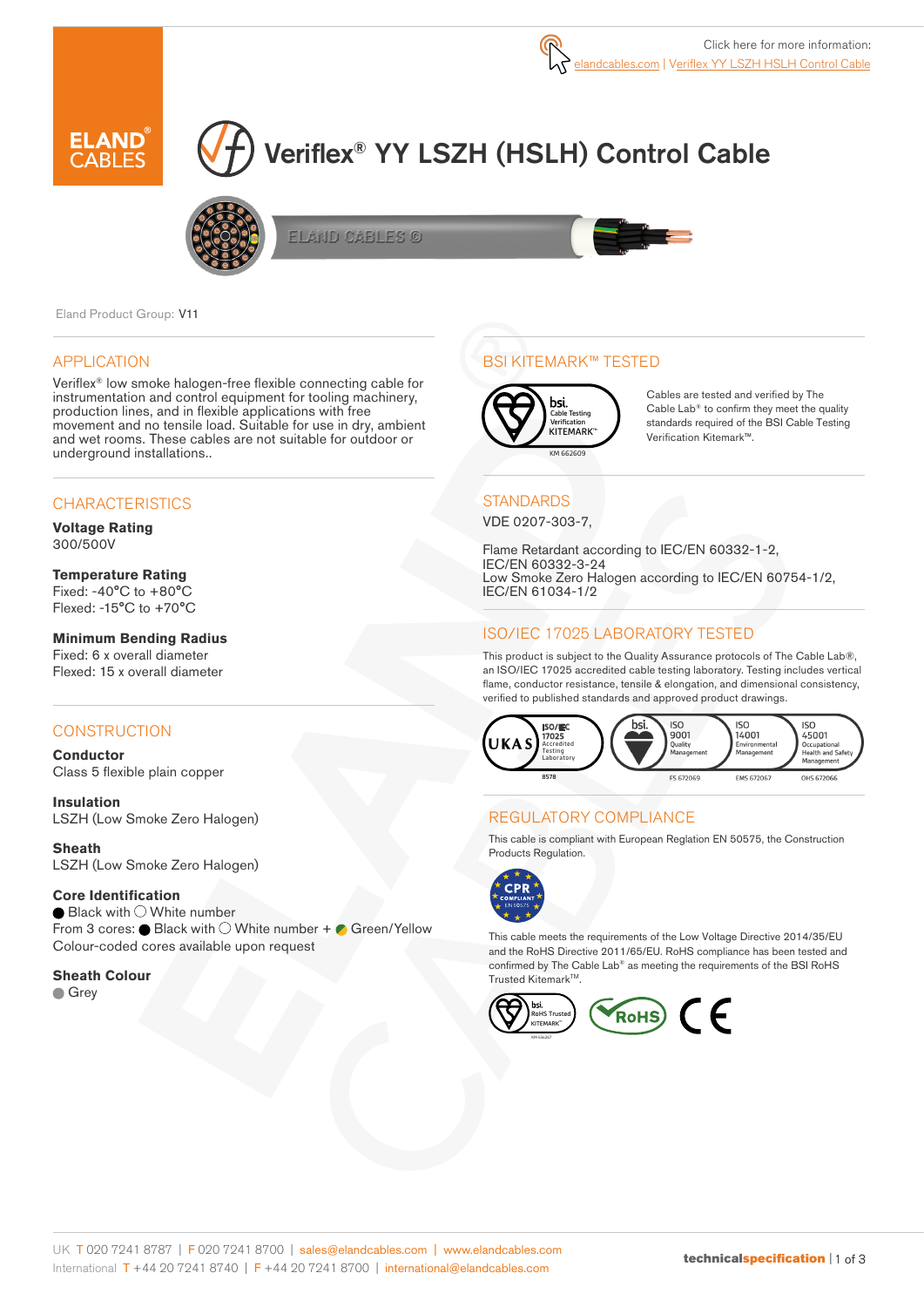

# Veriflex® YY LSZH (HSLH) Control Cable



ELAND CABLES ©



Eland Product Group: V11

### APPLICATION

Veriflex® low smoke halogen-free flexible connecting cable for instrumentation and control equipment for tooling machinery, production lines, and in flexible applications with free movement and no tensile load. Suitable for use in dry, ambient and wet rooms. These cables are not suitable for outdoor or underground installations..

## **CHARACTERISTICS**

**Voltage Rating**  300/500V

#### **Temperature Rating**

Fixed: -40°C to +80°C Flexed: -15°C to +70°C

### **Minimum Bending Radius**

Fixed: 6 x overall diameter Flexed: 15 x overall diameter

## **CONSTRUCTION**

**Conductor** Class 5 flexible plain copper

**Insulation** LSZH (Low Smoke Zero Halogen)

**Sheath** LSZH (Low Smoke Zero Halogen)

#### **Core Identification**

 $\bullet$  Black with  $\circlearrowright$  White number From 3 cores:  $\bullet$  Black with  $\bigcirc$  White number +  $\bullet$  Green/Yellow Colour-coded cores available upon request

**Sheath Colour Grey** 

## BSI KITEMARK™ TESTED



Cables are tested and verified by The Cable Lab® to confirm they meet the quality standards required of the BSI Cable Testing Verification Kitemark™.

## **STANDARDS**

VDE 0207-303-7,

Flame Retardant according to IEC/EN 60332-1-2, IEC/EN 60332-3-24 Low Smoke Zero Halogen according to IEC/EN 60754-1/2, IEC/EN 61034-1/2

## ISO/IEC 17025 LABORATORY TESTED

This product is subject to the Quality Assurance protocols of The Cable Lab®, an ISO/IEC 17025 accredited cable testing laboratory. Testing includes vertical flame, conductor resistance, tensile & elongation, and dimensional consistency, verified to published standards and approved product drawings.



## REGULATORY COMPLIANCE

This cable is compliant with European Reglation EN 50575, the Construction Products Regulation.



This cable meets the requirements of the Low Voltage Directive 2014/35/EU and the RoHS Directive 2011/65/EU. RoHS compliance has been tested and confirmed by The Cable Lab® as meeting the requirements of the BSI RoHS Trusted Kitemark™.

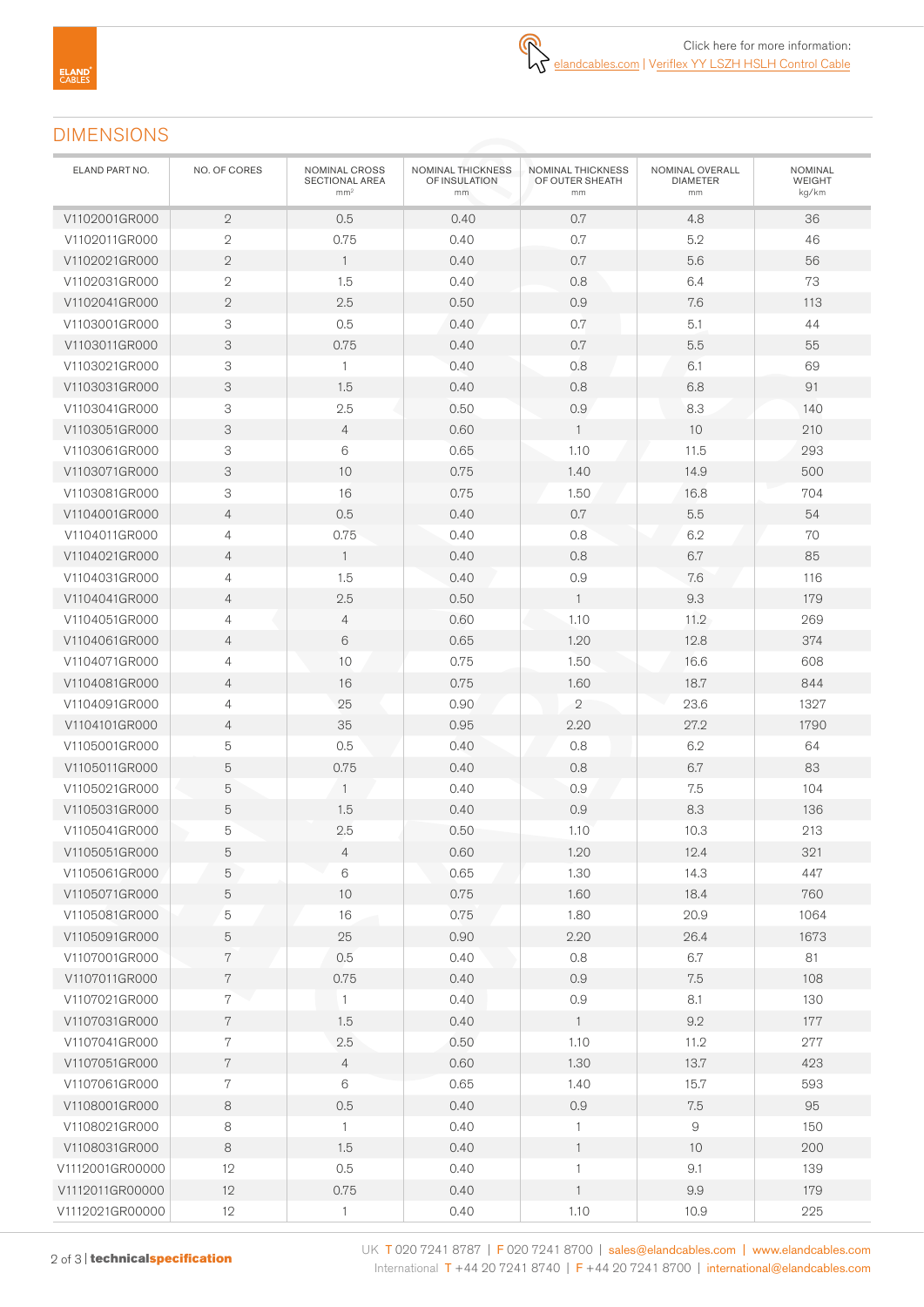# DIMENSIONS

| ELAND PART NO.  | NO. OF CORES   | NOMINAL CROSS<br><b>SECTIONAL AREA</b><br>mm <sup>2</sup> | NOMINAL THICKNESS<br>OF INSULATION<br>mm | NOMINAL THICKNESS<br>OF OUTER SHEATH<br>mm | NOMINAL OVERALL<br><b>DIAMETER</b><br>mm | NOMINAL<br><b>WEIGHT</b><br>kg/km |
|-----------------|----------------|-----------------------------------------------------------|------------------------------------------|--------------------------------------------|------------------------------------------|-----------------------------------|
| V1102001GR000   | $\mathbf{2}$   | 0.5                                                       | 0.40                                     | 0.7                                        | 4.8                                      | 36                                |
| V1102011GR000   | $\sqrt{2}$     | 0.75                                                      | 0.40                                     | 0.7                                        | 5.2                                      | 46                                |
| V1102021GR000   | $\mathbf{2}$   | $\mathbf{1}$                                              | 0.40                                     | 0.7                                        | 5.6                                      | 56                                |
| V1102031GR000   | $\mathbf{2}$   | 1.5                                                       | 0.40                                     | 0.8                                        | 6.4                                      | 73                                |
| V1102041GR000   | $\mathbf{2}$   | 2.5                                                       | 0.50                                     | 0.9                                        | 7.6                                      | 113                               |
| V1103001GR000   | 3              | 0.5                                                       | 0.40                                     | 0.7                                        | 5.1                                      | 44                                |
| V1103011GR000   | 3              | 0.75                                                      | 0.40                                     | 0.7                                        | 5.5                                      | 55                                |
| V1103021GR000   | 3              | $\mathbf{1}$                                              | 0.40                                     | 0.8                                        | 6.1                                      | 69                                |
| V1103031GR000   | 3              | 1.5                                                       | 0.40                                     | 0.8                                        | 6.8                                      | 91                                |
| V1103041GR000   | 3              | 2.5                                                       | 0.50                                     | 0.9                                        | 8.3                                      | 140                               |
| V1103051GR000   | 3              | $\overline{4}$                                            | 0.60                                     | $\mathbf{1}$                               | 10                                       | 210                               |
| V1103061GR000   | 3              | 6                                                         | 0.65                                     | 1.10                                       | 11.5                                     | 293                               |
| V1103071GR000   | 3              | 10                                                        | 0.75                                     | 1.40                                       | 14.9                                     | 500                               |
| V1103081GR000   | 3              | 16                                                        | 0.75                                     | 1.50                                       | 16.8                                     | 704                               |
| V1104001GR000   | $\overline{4}$ | 0.5                                                       | 0.40                                     | 0.7                                        | $5.5\,$                                  | 54                                |
| V1104011GR000   | 4              | 0.75                                                      | 0.40                                     | 0.8                                        | 6.2                                      | 70                                |
| V1104021GR000   | $\overline{4}$ | $\mathbf{1}$                                              | 0.40                                     | 0.8                                        | 6.7                                      | 85                                |
| V1104031GR000   | 4              | 1.5                                                       | 0.40                                     | 0.9                                        | 7.6                                      | 116                               |
| V1104041GR000   | $\overline{4}$ | 2.5                                                       | 0.50                                     | $\mathbf{1}$                               | 9.3                                      | 179                               |
| V1104051GR000   | 4              | $\overline{4}$                                            | 0.60                                     | 1.10                                       | 11.2                                     | 269                               |
| V1104061GR000   | $\overline{4}$ | 6                                                         | 0.65                                     | 1.20                                       | 12.8                                     | 374                               |
| V1104071GR000   | 4              | 10                                                        | 0.75                                     | 1.50                                       | 16.6                                     | 608                               |
| V1104081GR000   | $\overline{4}$ | 16                                                        | 0.75                                     | 1.60                                       | 18.7                                     | 844                               |
| V1104091GR000   | 4              | 25                                                        | 0.90                                     | $\overline{2}$                             | 23.6                                     | 1327                              |
| V1104101GR000   | $\overline{4}$ | 35                                                        | 0.95                                     | 2.20                                       | 27.2                                     | 1790                              |
| V1105001GR000   | 5              | 0.5                                                       | 0.40                                     | 0.8                                        | 6.2                                      | 64                                |
| V1105011GR000   | 5              | 0.75                                                      | 0.40                                     | 0.8                                        | 6.7                                      | 83                                |
| V1105021GR000   | 5              | $\overline{1}$                                            | 0.40                                     | 0.9                                        | 7.5                                      | 104                               |
| V1105031GR000   | 5              | 1.5                                                       | 0.40                                     | 0.9                                        | 8.3                                      | 136                               |
| V1105041GR000   | 5              | 2.5                                                       | 0.50                                     | 1.10                                       | 10.3                                     | 213                               |
| V1105051GR000   | 5              | $\overline{4}$                                            | 0.60                                     | 1.20                                       | 12.4                                     | 321                               |
| V1105061GR000   | 5              | 6                                                         | 0.65                                     | 1.30                                       | 14.3                                     | 447                               |
| V1105071GR000   | 5              | $10$                                                      | 0.75                                     | 1.60                                       | 18.4                                     | 760                               |
| V1105081GR000   | 5              | 16                                                        | 0.75                                     | 1.80                                       | 20.9                                     | 1064                              |
| V1105091GR000   | 5              | 25                                                        | 0.90                                     | 2.20                                       | 26.4                                     | 1673                              |
| V1107001GR000   | 7              | 0.5                                                       | 0.40                                     | $0.8\,$                                    | 6.7                                      | 81                                |
| V1107011GR000   | $\,7$          | 0.75                                                      | 0.40                                     | 0.9                                        | 7.5                                      | 108                               |
| V1107021GR000   | 7              | $\mathbf{1}$                                              | 0.40                                     | 0.9                                        | 8.1                                      | 130                               |
| V1107031GR000   | $\,7$          | 1.5                                                       | 0.40                                     | $\mathbf{1}$                               | 9.2                                      | 177                               |
| V1107041GR000   | $\overline{7}$ | 2.5                                                       | 0.50                                     | 1.10                                       | 11.2                                     | 277                               |
| V1107051GR000   | $\,7$          | $\overline{4}$                                            | 0.60                                     | 1.30                                       | 13.7                                     | 423                               |
| V1107061GR000   | $\,7$          | 6                                                         | 0.65                                     | 1.40                                       | 15.7                                     | 593                               |
| V1108001GR000   | $\,8\,$        | 0.5                                                       | 0.40                                     | $0.9\,$                                    | $7.5\,$                                  | 95                                |
| V1108021GR000   | 8              | $\mathbf{1}$                                              | 0.40                                     | 1                                          | $\hbox{9}$                               | 150                               |
| V1108031GR000   | 8              | 1.5                                                       | 0.40                                     | $\mathbf{1}$                               | 10                                       | 200                               |
| V1112001GR00000 | 12             | 0.5                                                       | 0.40                                     | $\mathbf{1}$                               | 9.1                                      | 139                               |
| V1112011GR00000 | 12             | 0.75                                                      | 0.40                                     | $\mathbf{1}$                               | 9.9                                      | 179                               |
| V1112021GR00000 | 12             | $\mathbf{1}$                                              | 0.40                                     | 1.10                                       | 10.9                                     | 225                               |